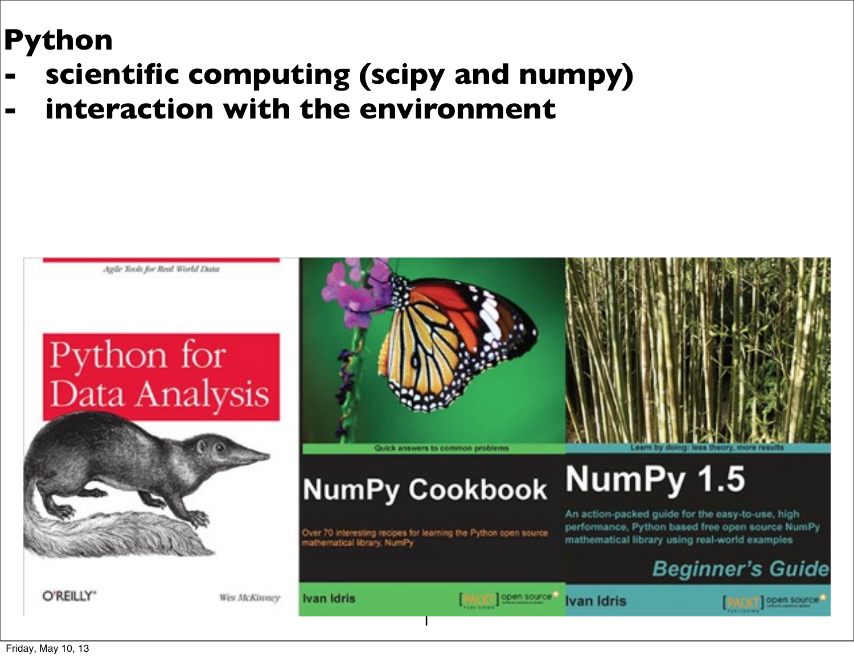## **Python**

- **- scientific computing (scipy and numpy)**
- **- interaction with the environment**

Python for Data Analysis

Agile Tools for Real World Data



O'REILLY"

Wes McKinney

Ivan Idris

nathematical library, NumPy

1

Quick answers to common problems

**NumPy Cookbook** 

Over 70 interesting recipes for learning the Python open source

**PAIRT OPen Source You Ivan Idris** 

**Beginner's Guide** 

An action-packed guide for the easy-to-use, high performance, Python based free open source NumPy

mathematical library using real-world examples

NumPy 1.5

open source

Friday, May 10, 13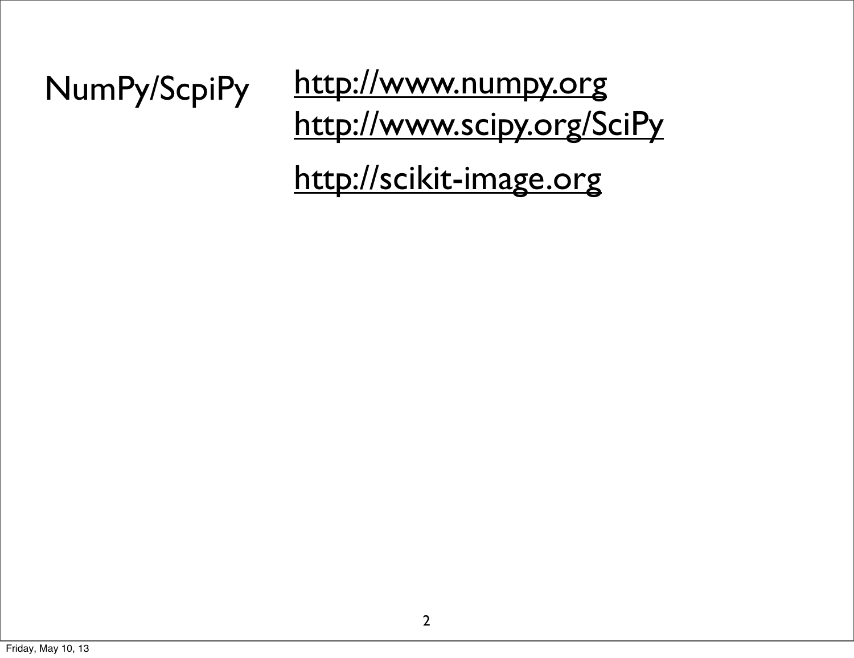## NumPy/ScpiPy <http://www.scipy.org/SciPy> <http://www.numpy.org>

<http://scikit-image.org>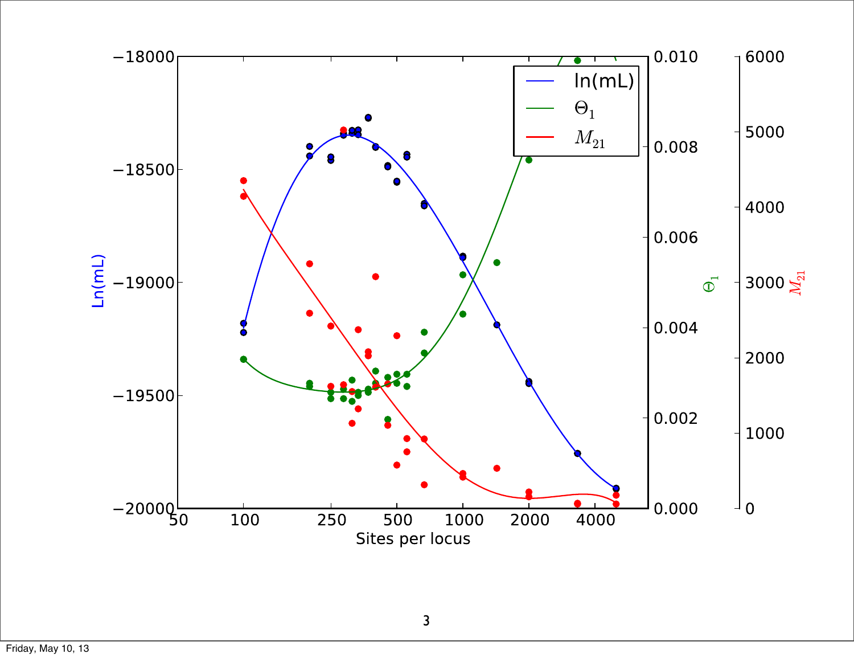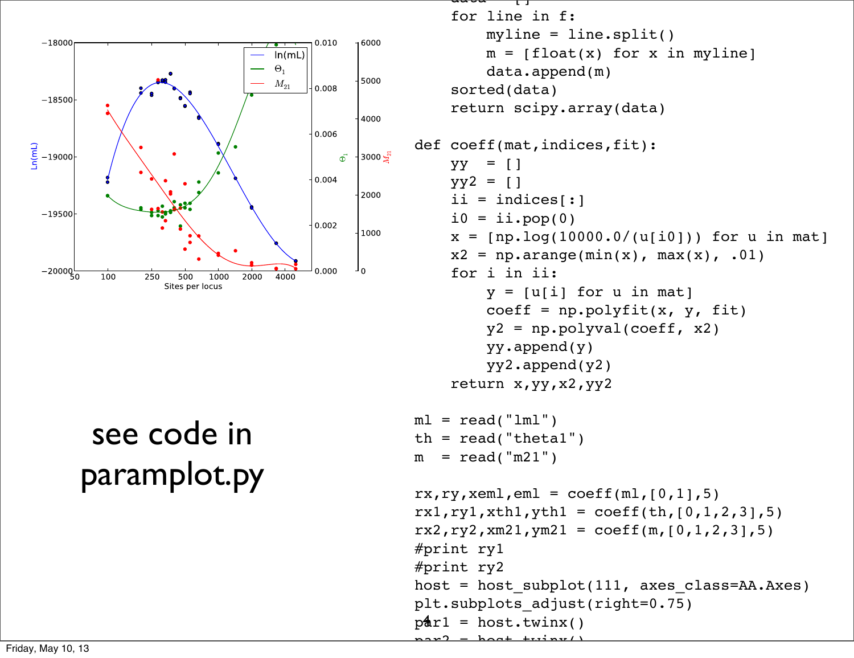

## see code in paramplot.py

```
p4r1 = host.twinx()\frac{d}{d} for line in f:
         myline = line.split()
        m = [float(x) for x in myline] data.append(m)
     sorted(data)
     return scipy.array(data)
def coeff(mat,indices,fit):
    yy = []yy2 = [1]ii = indices[i]i0 = ii.pop(0)x = [np.log(10000.0/(u[i0])) for u in mat]
    x2 = np.arange(min(x), max(x), .01) for i in ii:
        y = [u[i] for u in mat]
        coeff = np.polyfit(x, y, fit)y2 = np.polyval(coeff, x2) yy.append(y)
         yy2.append(y2)
     return x,yy,x2,yy2
ml = read('lml")th = read('theta1")m = read('m21")rx, ry, xem1, em1 = coeff(m1, [0, 1], 5)rx1, ry1, xth1, yth1 = coeff(th, [0, 1, 2, 3], 5)rx2, ry2, xm21, ym21 = coeff(m, [0, 1, 2, 3], 5)#print ry1
#print ry2
host = host subplot(111, axes class=AA.Axes)
plt.subplots_adjust(right=0.75)
 pro- host twing()
```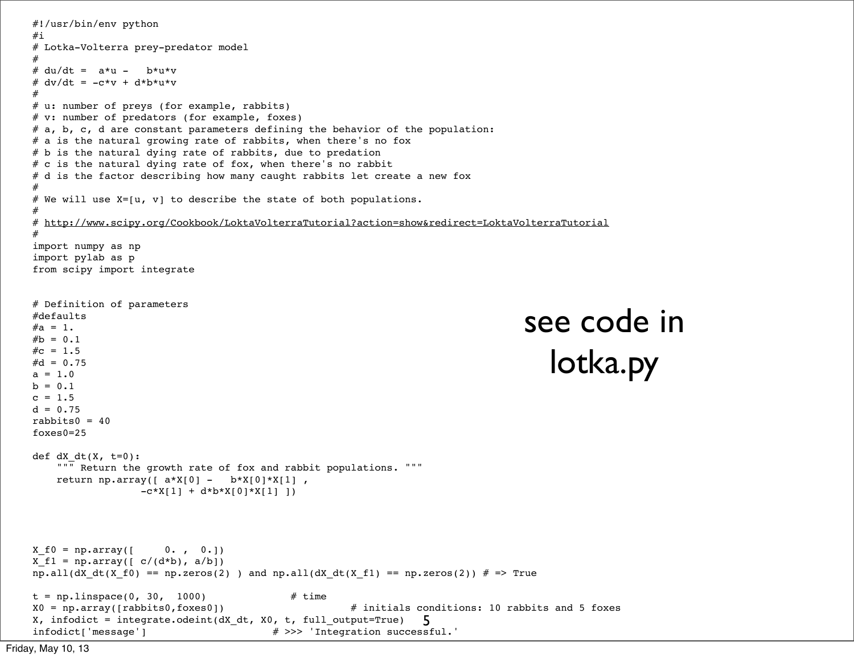```
5
#!/usr/bin/env python
#i
# Lotka-Volterra prey-predator model
#
# du/dt = a*u - b*u*v# dv/dt = -c*v + d*b*u*v
# 
# u: number of preys (for example, rabbits)
# v: number of predators (for example, foxes)
# a, b, c, d are constant parameters defining the behavior of the population:
# a is the natural growing rate of rabbits, when there's no fox
# b is the natural dying rate of rabbits, due to predation
# c is the natural dying rate of fox, when there's no rabbit
# d is the factor describing how many caught rabbits let create a new fox
#
# We will use X=[u, v] to describe the state of both populations.
#
# http://www.scipy.org/Cookbook/LoktaVolterraTutorial?action=show&redirect=LoktaVolterraTutorial
#
import numpy as np
import pylab as p
from scipy import integrate
# Definition of parameters
#defaults
#a = 1.#b = 0.1\#c = 1.5#d = 0.75a = 1.0b = 0.1c = 1.5d = 0.75rabbits0 = 40foxes0=25
def dX dt(X, t=0): """ Return the growth rate of fox and rabbit populations. """
   return np.array([a*X[0] - b*X[0]*X[1],
                 -c*X[1] + d*b*X[0]*X[1] ]X_f = np.array([ 0. , 0.])X f1 = np.array(\lceil c/(d*b), a/b\rceil)np.all(dX_dt(X_f0) == np.zeros(2) ) and np.all(dX_dt(X_f1) == np.zeros(2)) # => Truet = npu. linspace(0, 30, 1000) # time
X0 = np.array([rabbits0,foxes0]) # initials conditions: 10 rabbits and 5 foxes
X, infodict = integrate.odeint(dX_dt, X0, t, full_output=True)
infodict['message'] # >>> 'Integration successful.'
                                                                              see code in 
                                                                                  lotka.py
```

```
Friday, May 10, 13
```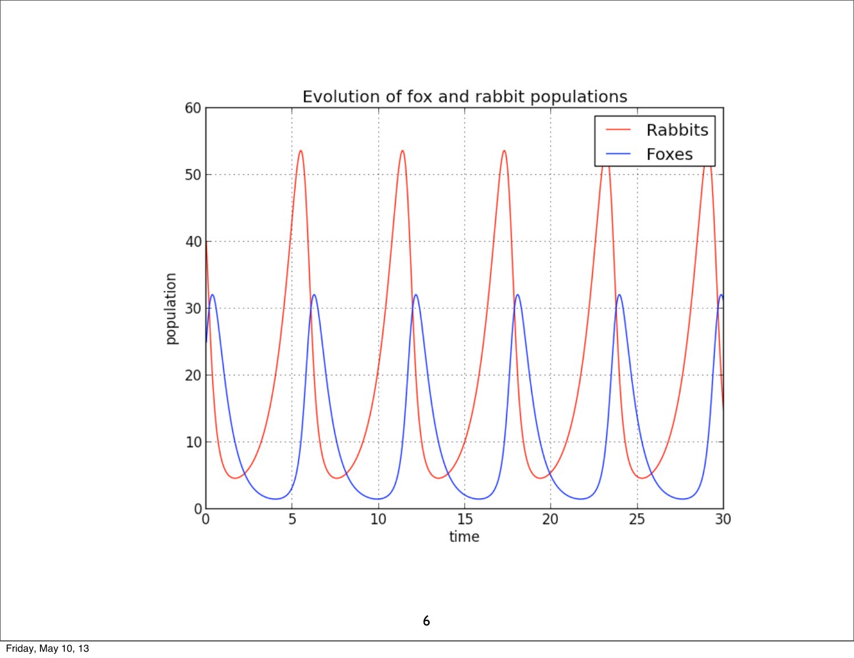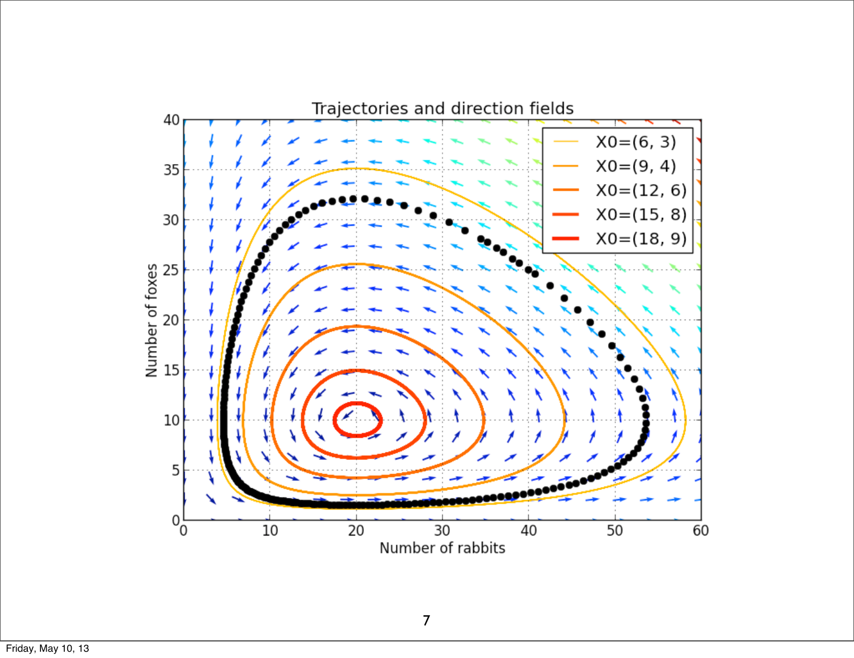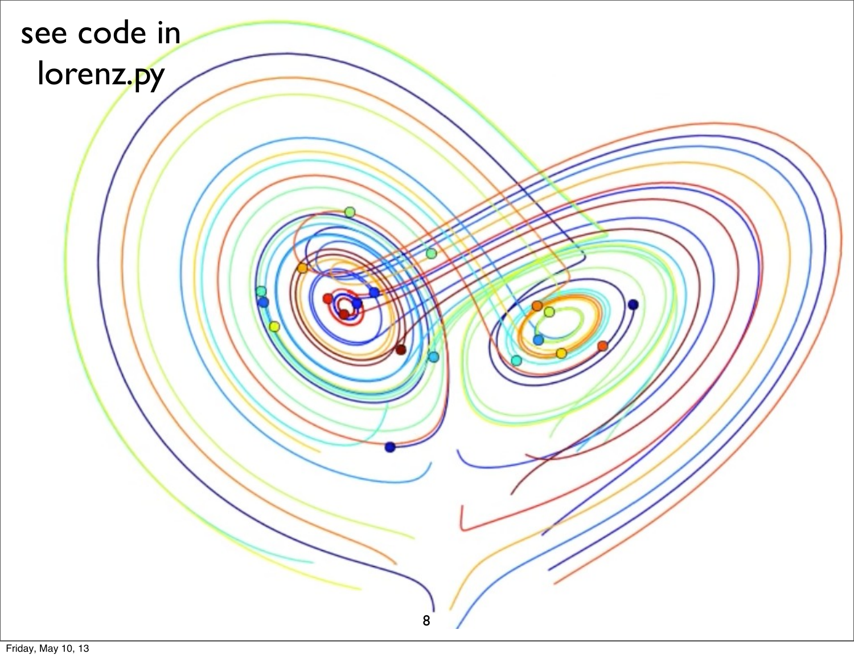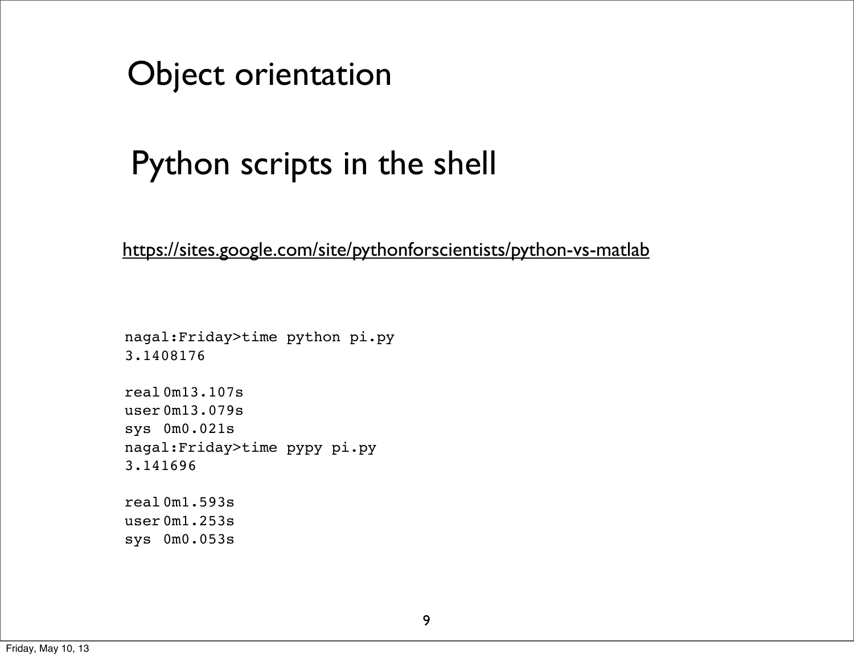

## Python scripts in the shell

<https://sites.google.com/site/pythonforscientists/python-vs-matlab>

nagal:Friday>time python pi.py 3.1408176

real 0m13.107s user 0m13.079s sys 0m0.021s nagal:Friday>time pypy pi.py 3.141696

real 0m1.593s user 0m1.253s sys 0m0.053s